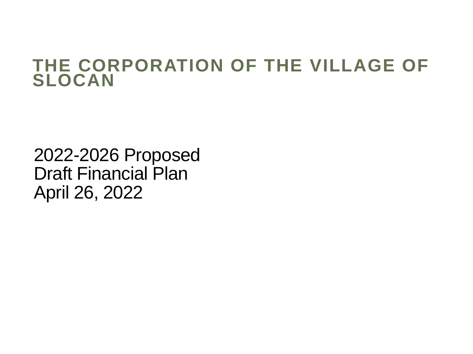#### **THE CORPORATION OF THE VILLAGE OF SLOCAN**

2022-2026 Proposed Draft Financial Plan April 26, 2022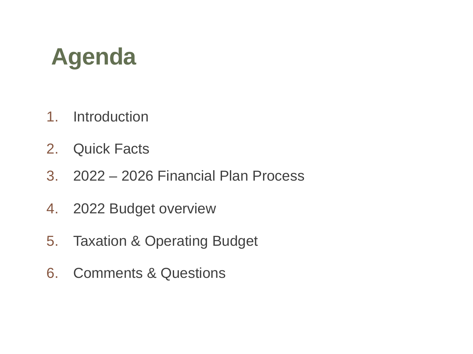## **Agenda**

- 1. Introduction
- 2. Quick Facts
- 3. 2022 2026 Financial Plan Process
- 4. 2022 Budget overview
- 5. Taxation & Operating Budget
- 6. Comments & Questions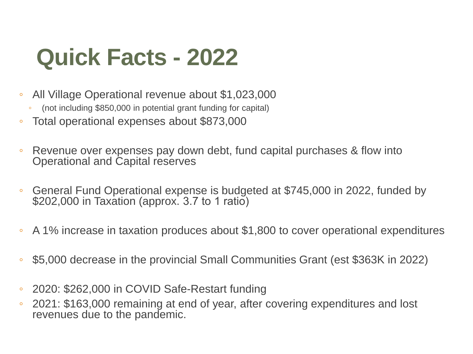## **Quick Facts - 2022**

- All Village Operational revenue about \$1,023,000
	- (not including \$850,000 in potential grant funding for capital)
- Total operational expenses about \$873,000
- Revenue over expenses pay down debt, fund capital purchases & flow into Operational and Capital reserves
- General Fund Operational expense is budgeted at \$745,000 in 2022, funded by \$202,000 in Taxation (approx. 3.7 to 1 ratio)
- A 1% increase in taxation produces about \$1,800 to cover operational expenditures
- \$5,000 decrease in the provincial Small Communities Grant (est \$363K in 2022)
- 2020: \$262,000 in COVID Safe-Restart funding
- 2021: \$163,000 remaining at end of year, after covering expenditures and lost revenues due to the pandemic.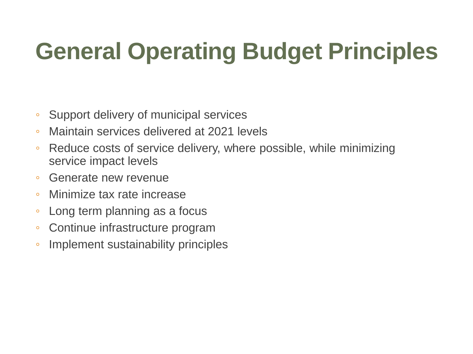# **General Operating Budget Principles**

- Support delivery of municipal services
- Maintain services delivered at 2021 levels
- Reduce costs of service delivery, where possible, while minimizing service impact levels
- Generate new revenue
- Minimize tax rate increase
- Long term planning as a focus
- Continue infrastructure program
- Implement sustainability principles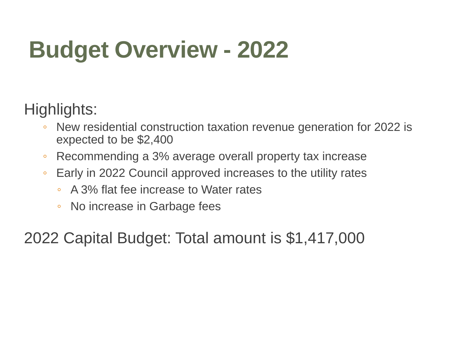# **Budget Overview - 2022**

Highlights:

- New residential construction taxation revenue generation for 2022 is expected to be \$2,400
- Recommending a 3% average overall property tax increase
- Early in 2022 Council approved increases to the utility rates
	- A 3% flat fee increase to Water rates
	- No increase in Garbage fees

2022 Capital Budget: Total amount is \$1,417,000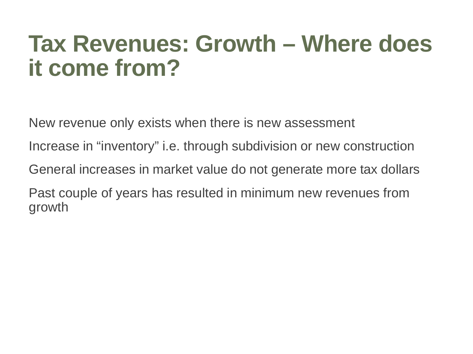## **Tax Revenues: Growth – Where does it come from?**

New revenue only exists when there is new assessment

Increase in "inventory" i.e. through subdivision or new construction

General increases in market value do not generate more tax dollars

Past couple of years has resulted in minimum new revenues from growth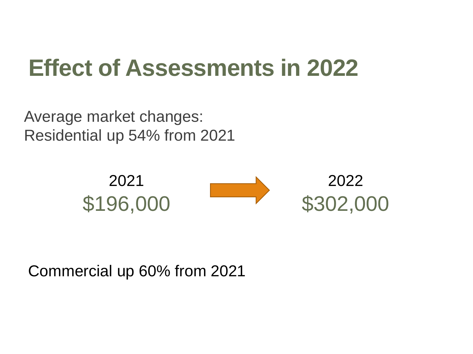## **Effect of Assessments in 2022**

Average market changes: Residential up 54% from 2021



Commercial up 60% from 2021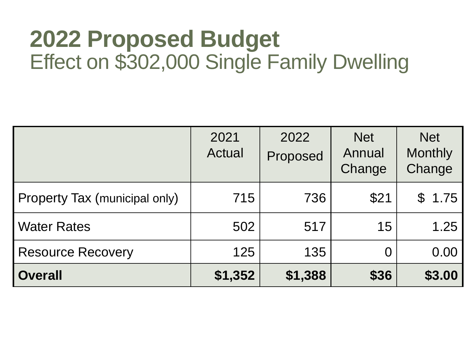#### **2022 Proposed Budget** Effect on \$302,000 Single Family Dwelling

|                               | 2021<br>Actual | 2022<br>Proposed | <b>Net</b><br>Annual<br>Change | <b>Net</b><br><b>Monthly</b><br>Change |
|-------------------------------|----------------|------------------|--------------------------------|----------------------------------------|
| Property Tax (municipal only) | 715            | 736              | \$21                           | \$1.75                                 |
| <b>Water Rates</b>            | 502            | 517              | 15                             | 1.25                                   |
| <b>Resource Recovery</b>      | 125            | 135              | O                              | 0.00                                   |
| <b>Overall</b>                | \$1,352        | \$1,388          | \$36                           | \$3.00                                 |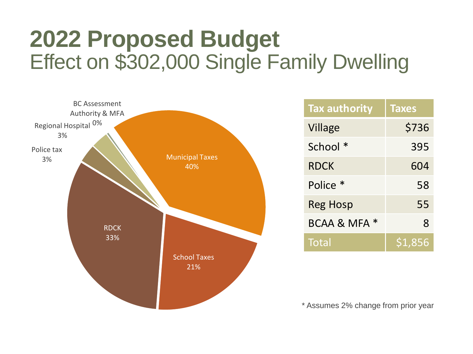### **2022 Proposed Budget** Effect on \$302,000 Single Family Dwelling



| <b>Tax authority</b> | <b>Taxes</b> |  |  |
|----------------------|--------------|--|--|
| Village              | \$736        |  |  |
| School *             | 395          |  |  |
| RDCK                 | 604          |  |  |
| Police *             | 58           |  |  |
| Reg Hosp             | 55           |  |  |
| BCAA & MFA *         | 8            |  |  |
| Total                | S1.856       |  |  |

\* Assumes 2% change from prior year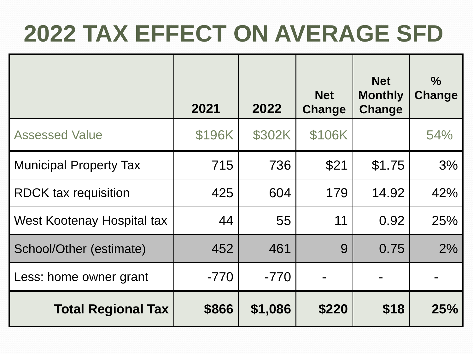# **2022 TAX EFFECT ON AVERAGE SFD**

|                               | 2021   | 2022    | <b>Net</b><br>Change | <b>Net</b><br><b>Monthly</b><br>Change | $\frac{9}{6}$<br>Change |
|-------------------------------|--------|---------|----------------------|----------------------------------------|-------------------------|
| <b>Assessed Value</b>         | \$196K | \$302K  | \$106K               |                                        | 54%                     |
| <b>Municipal Property Tax</b> | 715    | 736     | \$21                 | \$175                                  | 3%                      |
| <b>RDCK tax requisition</b>   | 425    | 604     | 179                  | 14.92                                  | 42%                     |
| West Kootenay Hospital tax    | 44     | 55      | 11                   | 0.92                                   | 25%                     |
| School/Other (estimate)       | 452    | 461     | 9                    | 0.75                                   | 2%                      |
| Less: home owner grant        | $-770$ | $-770$  |                      |                                        |                         |
| <b>Total Regional Tax</b>     | \$866  | \$1,086 | \$220                | \$18                                   | 25%                     |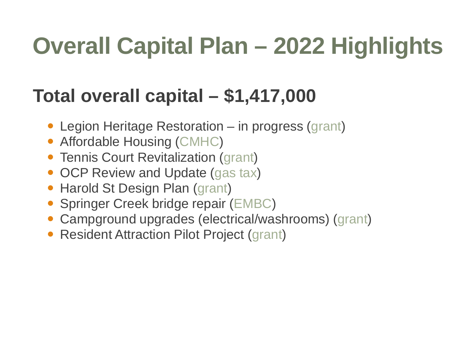## **Overall Capital Plan – 2022 Highlights**

#### **Total overall capital – \$1,417,000**

- Legion Heritage Restoration in progress (grant)
- Affordable Housing (CMHC)
- Tennis Court Revitalization (grant)
- OCP Review and Update (gas tax)
- Harold St Design Plan (grant)
- Springer Creek bridge repair (EMBC)
- Campground upgrades (electrical/washrooms) (grant)
- Resident Attraction Pilot Project (grant)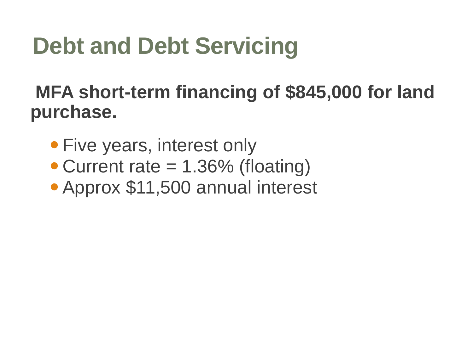## **Debt and Debt Servicing**

#### **MFA short-term financing of \$845,000 for land purchase.**

- Five years, interest only
- Current rate = 1.36% (floating)
- Approx \$11,500 annual interest